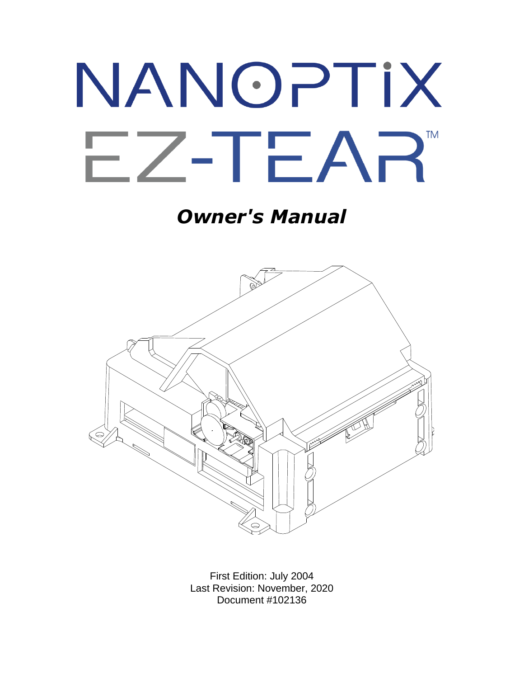# NANOPTIX EZ-TEAR **TM**

*Owner's Manual*



First Edition: July 2004 Last Revision: November, 2020 Document #102136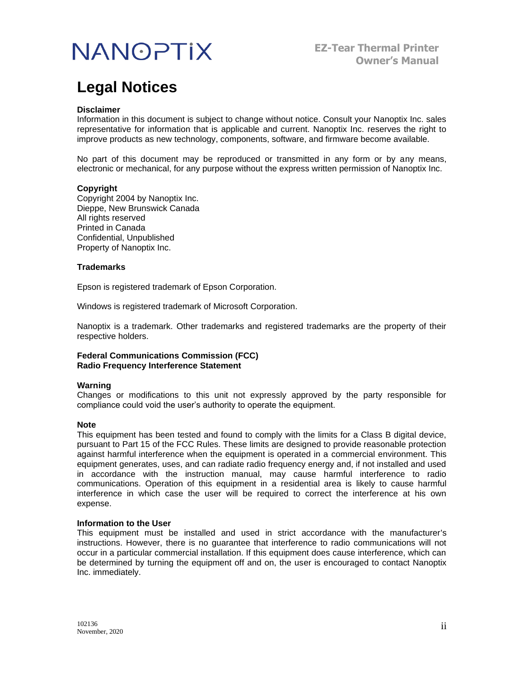## **Legal Notices**

#### **Disclaimer**

Information in this document is subject to change without notice. Consult your Nanoptix Inc. sales representative for information that is applicable and current. Nanoptix Inc. reserves the right to improve products as new technology, components, software, and firmware become available.

No part of this document may be reproduced or transmitted in any form or by any means, electronic or mechanical, for any purpose without the express written permission of Nanoptix Inc.

#### **Copyright**

Copyright 2004 by Nanoptix Inc. Dieppe, New Brunswick Canada All rights reserved Printed in Canada Confidential, Unpublished Property of Nanoptix Inc.

#### **Trademarks**

Epson is registered trademark of Epson Corporation.

Windows is registered trademark of Microsoft Corporation.

Nanoptix is a trademark. Other trademarks and registered trademarks are the property of their respective holders.

**Federal Communications Commission (FCC) Radio Frequency Interference Statement**

#### **Warning**

Changes or modifications to this unit not expressly approved by the party responsible for compliance could void the user's authority to operate the equipment.

#### **Note**

This equipment has been tested and found to comply with the limits for a Class B digital device, pursuant to Part 15 of the FCC Rules. These limits are designed to provide reasonable protection against harmful interference when the equipment is operated in a commercial environment. This equipment generates, uses, and can radiate radio frequency energy and, if not installed and used in accordance with the instruction manual, may cause harmful interference to radio communications. Operation of this equipment in a residential area is likely to cause harmful interference in which case the user will be required to correct the interference at his own expense.

#### **Information to the User**

This equipment must be installed and used in strict accordance with the manufacturer's instructions. However, there is no guarantee that interference to radio communications will not occur in a particular commercial installation. If this equipment does cause interference, which can be determined by turning the equipment off and on, the user is encouraged to contact Nanoptix Inc. immediately.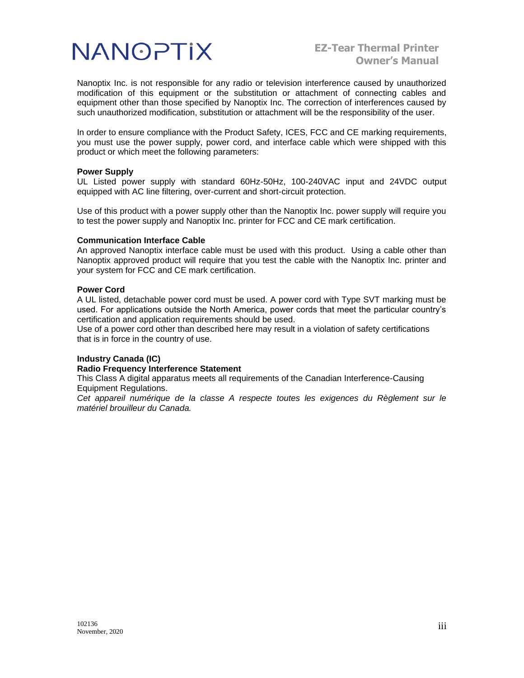

Nanoptix Inc. is not responsible for any radio or television interference caused by unauthorized modification of this equipment or the substitution or attachment of connecting cables and equipment other than those specified by Nanoptix Inc. The correction of interferences caused by such unauthorized modification, substitution or attachment will be the responsibility of the user.

In order to ensure compliance with the Product Safety, ICES, FCC and CE marking requirements, you must use the power supply, power cord, and interface cable which were shipped with this product or which meet the following parameters:

#### **Power Supply**

UL Listed power supply with standard 60Hz-50Hz, 100-240VAC input and 24VDC output equipped with AC line filtering, over-current and short-circuit protection.

Use of this product with a power supply other than the Nanoptix Inc. power supply will require you to test the power supply and Nanoptix Inc. printer for FCC and CE mark certification.

#### **Communication Interface Cable**

An approved Nanoptix interface cable must be used with this product. Using a cable other than Nanoptix approved product will require that you test the cable with the Nanoptix Inc. printer and your system for FCC and CE mark certification.

#### **Power Cord**

A UL listed, detachable power cord must be used. A power cord with Type SVT marking must be used. For applications outside the North America, power cords that meet the particular country's certification and application requirements should be used.

Use of a power cord other than described here may result in a violation of safety certifications that is in force in the country of use.

#### **Industry Canada (IC)**

#### **Radio Frequency Interference Statement**

This Class A digital apparatus meets all requirements of the Canadian Interference-Causing Equipment Regulations.

*Cet appareil numérique de la classe A respecte toutes les exigences du Règlement sur le matériel brouilleur du Canada.*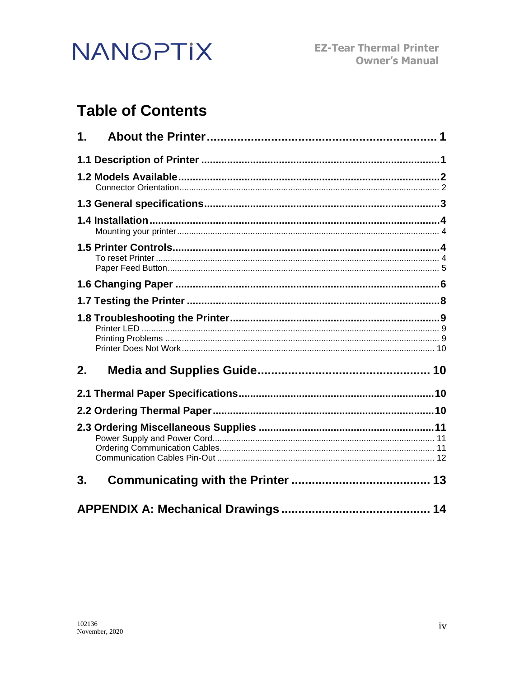

## **Table of Contents**

| 1. |  |
|----|--|
|    |  |
|    |  |
|    |  |
|    |  |
|    |  |
|    |  |
|    |  |
|    |  |
| 2. |  |
|    |  |
|    |  |
|    |  |
| 3. |  |
|    |  |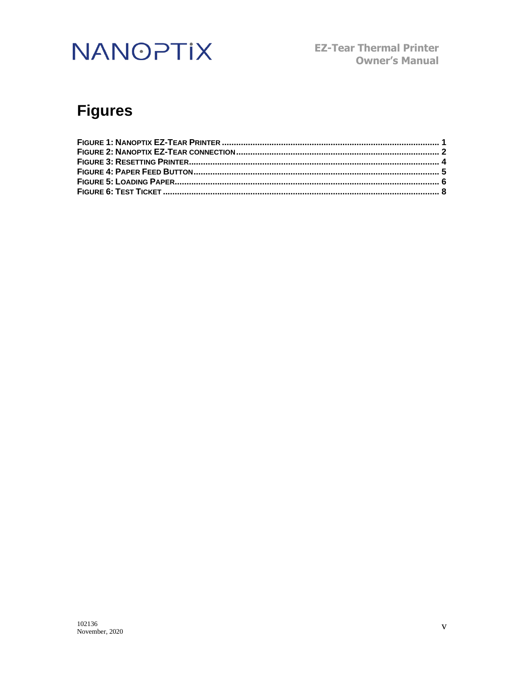**EZ-Tear Thermal Printer Owner's Manual** 

## **Figures**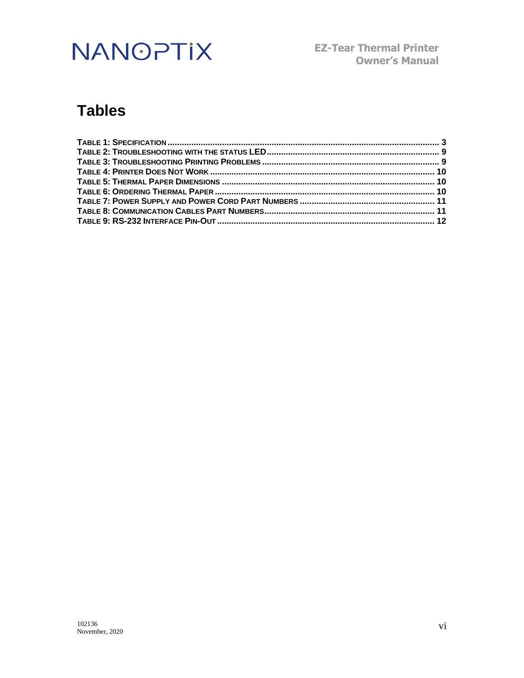**EZ-Tear Thermal Printer Owner's Manual**

## **Tables**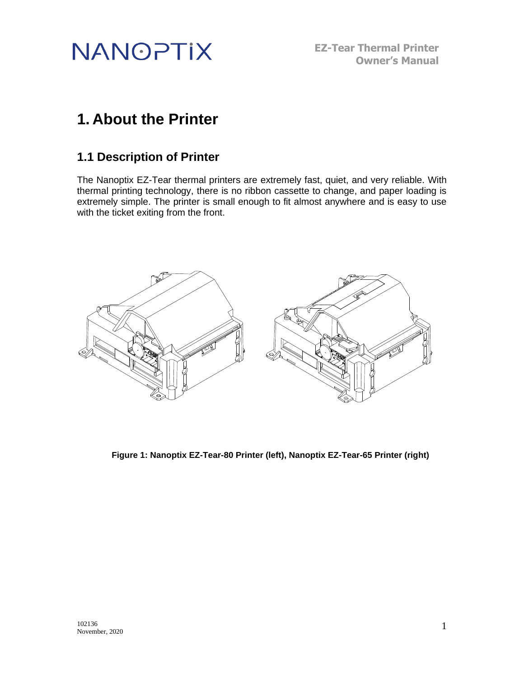

**EZ-Tear Thermal Printer Owner's Manual**

## <span id="page-6-0"></span>**1. About the Printer**

## <span id="page-6-1"></span>**1.1 Description of Printer**

The Nanoptix EZ-Tear thermal printers are extremely fast, quiet, and very reliable. With thermal printing technology, there is no ribbon cassette to change, and paper loading is extremely simple. The printer is small enough to fit almost anywhere and is easy to use with the ticket exiting from the front.



<span id="page-6-2"></span>**Figure 1: Nanoptix EZ-Tear-80 Printer (left), Nanoptix EZ-Tear-65 Printer (right)**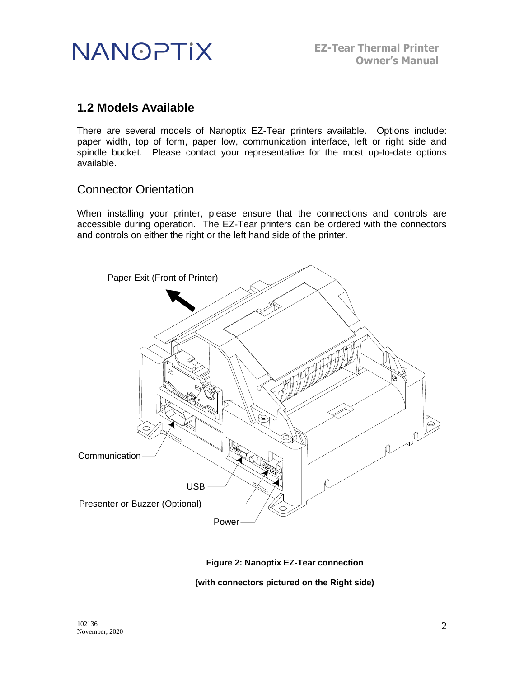

## <span id="page-7-0"></span>**1.2 Models Available**

There are several models of Nanoptix EZ-Tear printers available. Options include: paper width, top of form, paper low, communication interface, left or right side and spindle bucket. Please contact your representative for the most up-to-date options available.

### <span id="page-7-1"></span>Connector Orientation

When installing your printer, please ensure that the connections and controls are accessible during operation. The EZ-Tear printers can be ordered with the connectors and controls on either the right or the left hand side of the printer.



### **Figure 2: Nanoptix EZ-Tear connection**

<span id="page-7-2"></span>**(with connectors pictured on the Right side)**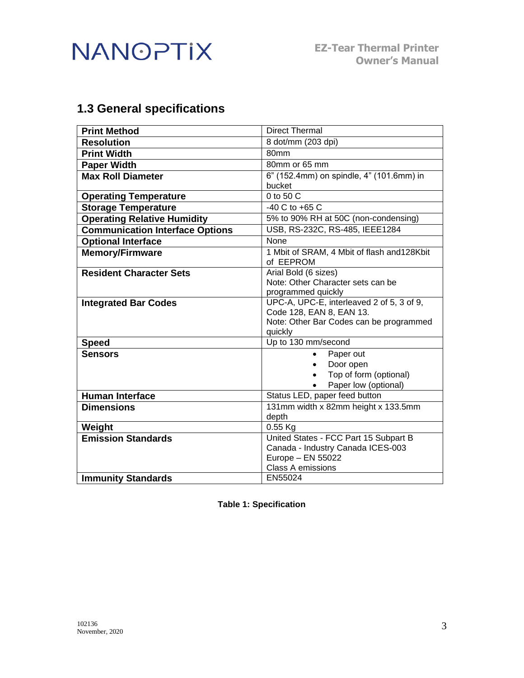

## <span id="page-8-0"></span>**1.3 General specifications**

| <b>Print Method</b>                    | <b>Direct Thermal</b>                                           |  |
|----------------------------------------|-----------------------------------------------------------------|--|
| <b>Resolution</b>                      | 8 dot/mm (203 dpi)                                              |  |
| <b>Print Width</b>                     | 80mm                                                            |  |
| <b>Paper Width</b>                     | 80mm or 65 mm                                                   |  |
| <b>Max Roll Diameter</b>               | 6" (152.4mm) on spindle, 4" (101.6mm) in                        |  |
|                                        | bucket                                                          |  |
| <b>Operating Temperature</b>           | 0 to 50 C                                                       |  |
| <b>Storage Temperature</b>             | $-40$ C to $+65$ C                                              |  |
| <b>Operating Relative Humidity</b>     | 5% to 90% RH at 50C (non-condensing)                            |  |
| <b>Communication Interface Options</b> | USB, RS-232C, RS-485, IEEE1284                                  |  |
| <b>Optional Interface</b>              | <b>None</b>                                                     |  |
| <b>Memory/Firmware</b>                 | 1 Mbit of SRAM, 4 Mbit of flash and 128Kbit                     |  |
|                                        | of EEPROM                                                       |  |
| <b>Resident Character Sets</b>         | Arial Bold (6 sizes)                                            |  |
|                                        | Note: Other Character sets can be                               |  |
|                                        | programmed quickly<br>UPC-A, UPC-E, interleaved 2 of 5, 3 of 9, |  |
| <b>Integrated Bar Codes</b>            | Code 128, EAN 8, EAN 13.                                        |  |
|                                        | Note: Other Bar Codes can be programmed                         |  |
|                                        | quickly                                                         |  |
| <b>Speed</b>                           | Up to 130 mm/second                                             |  |
| <b>Sensors</b>                         | Paper out<br>$\bullet$                                          |  |
|                                        | Door open                                                       |  |
|                                        | Top of form (optional)                                          |  |
|                                        | Paper low (optional)                                            |  |
| <b>Human Interface</b>                 | Status LED, paper feed button                                   |  |
| <b>Dimensions</b>                      | 131mm width x 82mm height x 133.5mm                             |  |
|                                        | depth                                                           |  |
| Weight                                 | 0.55 Kg                                                         |  |
| <b>Emission Standards</b>              | United States - FCC Part 15 Subpart B                           |  |
|                                        | Canada - Industry Canada ICES-003                               |  |
|                                        | Europe - EN 55022<br><b>Class A emissions</b>                   |  |
|                                        |                                                                 |  |
| <b>Immunity Standards</b>              | EN55024                                                         |  |

<span id="page-8-1"></span>**Table 1: Specification**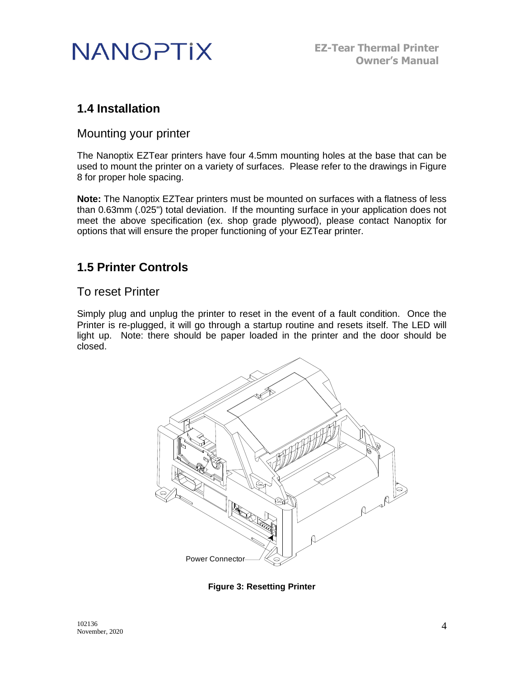

## <span id="page-9-0"></span>**1.4 Installation**

### <span id="page-9-1"></span>Mounting your printer

The Nanoptix EZTear printers have four 4.5mm mounting holes at the base that can be used to mount the printer on a variety of surfaces. Please refer to the drawings in Figure 8 for proper hole spacing.

**Note:** The Nanoptix EZTear printers must be mounted on surfaces with a flatness of less than 0.63mm (.025") total deviation. If the mounting surface in your application does not meet the above specification (ex. shop grade plywood), please contact Nanoptix for options that will ensure the proper functioning of your EZTear printer.

## <span id="page-9-2"></span>**1.5 Printer Controls**

## <span id="page-9-3"></span>To reset Printer

Simply plug and unplug the printer to reset in the event of a fault condition. Once the Printer is re-plugged, it will go through a startup routine and resets itself. The LED will light up. Note: there should be paper loaded in the printer and the door should be closed.



<span id="page-9-4"></span>**Figure 3: Resetting Printer**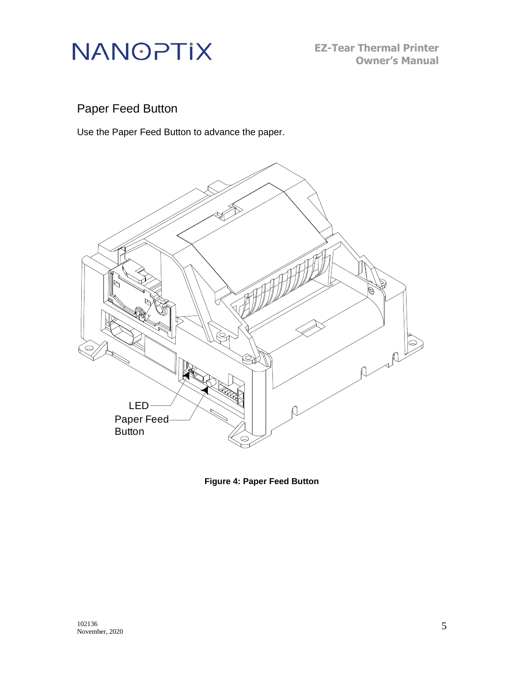

**EZ-Tear Thermal Printer Owner's Manual**

## <span id="page-10-0"></span>Paper Feed Button

Use the Paper Feed Button to advance the paper.



<span id="page-10-1"></span>**Figure 4: Paper Feed Button**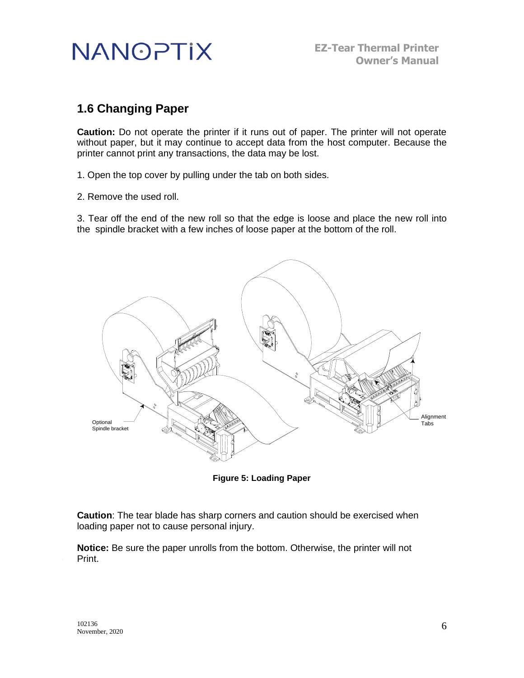

## <span id="page-11-0"></span>**1.6 Changing Paper**

**Caution:** Do not operate the printer if it runs out of paper. The printer will not operate without paper, but it may continue to accept data from the host computer. Because the printer cannot print any transactions, the data may be lost.

1. Open the top cover by pulling under the tab on both sides.

2. Remove the used roll.

3. Tear off the end of the new roll so that the edge is loose and place the new roll into the spindle bracket with a few inches of loose paper at the bottom of the roll.



**Figure 5: Loading Paper**

<span id="page-11-1"></span>**Caution**: The tear blade has sharp corners and caution should be exercised when loading paper not to cause personal injury.

**Notice:** Be sure the paper unrolls from the bottom. Otherwise, the printer will not Print.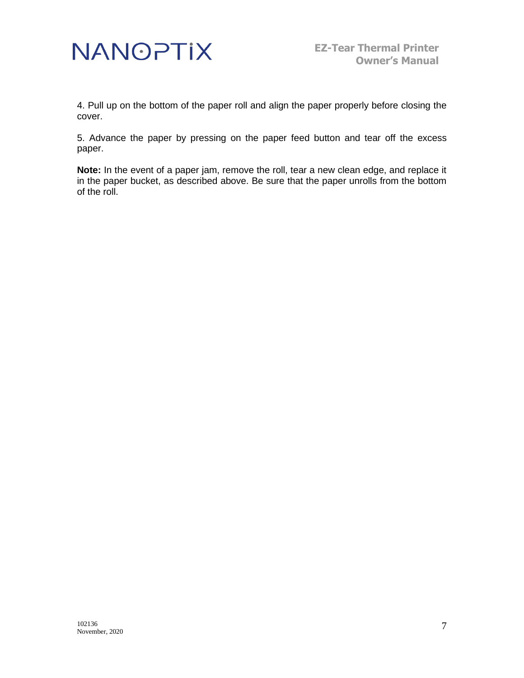

4. Pull up on the bottom of the paper roll and align the paper properly before closing the cover.

5. Advance the paper by pressing on the paper feed button and tear off the excess paper.

**Note:** In the event of a paper jam, remove the roll, tear a new clean edge, and replace it in the paper bucket, as described above. Be sure that the paper unrolls from the bottom of the roll.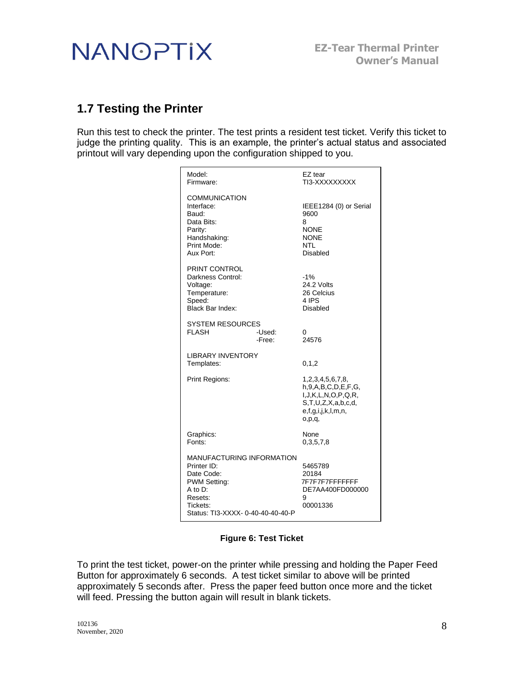

## <span id="page-13-0"></span>**1.7 Testing the Printer**

Run this test to check the printer. The test prints a resident test ticket. Verify this ticket to judge the printing quality. This is an example, the printer's actual status and associated printout will vary depending upon the configuration shipped to you.

| Model:<br>Firmware:                                                                                                                                       | EZ tear<br>TI3-XXXXXXXXX                                                                                                             |
|-----------------------------------------------------------------------------------------------------------------------------------------------------------|--------------------------------------------------------------------------------------------------------------------------------------|
| <b>COMMUNICATION</b><br>Interface:<br>Baud:<br>Data Bits:<br>Parity:<br>Handshaking:<br>Print Mode:<br>Aux Port:                                          | IEEE1284 (0) or Serial<br>9600<br>8<br><b>NONE</b><br><b>NONE</b><br>NTL<br>Disabled                                                 |
| PRINT CONTROL<br>Darkness Control:<br>Voltage:<br>Temperature:<br>Speed:<br>Black Bar Index:                                                              | $-1%$<br>24.2 Volts<br>26 Celcius<br>4 IPS<br>Disabled                                                                               |
| <b>SYSTEM RESOURCES</b><br><b>FLASH</b><br>-Used:<br>-Free:                                                                                               | 0<br>24576                                                                                                                           |
| <b>LIBRARY INVENTORY</b><br>Templates:                                                                                                                    | 0, 1, 2                                                                                                                              |
| Print Regions:                                                                                                                                            | 1,2,3,4,5,6,7,8,<br>h, 9, A, B, C, D, E, F, G,<br>I, J, K, L, N, O, P, Q, R,<br>S,T,U,Z,X,a,b,c,d,<br>e,f,g,i,j,k,l,m,n,<br>O, D, Q, |
| Graphics:<br>Fonts:                                                                                                                                       | None<br>0,3,5,7,8                                                                                                                    |
| <b>MANUFACTURING INFORMATION</b><br>Printer ID:<br>Date Code:<br>PWM Setting:<br>$A$ to $D$ :<br>Resets:<br>Tickets:<br>Status: TI3-XXXX- 0-40-40-40-40-P | 5465789<br>20184<br>7F7F7F7FFFFFFFF<br>DE7AA400FD000000<br>9<br>00001336                                                             |

### **Figure 6: Test Ticket**

<span id="page-13-1"></span>To print the test ticket, power-on the printer while pressing and holding the Paper Feed Button for approximately 6 seconds. A test ticket similar to above will be printed approximately 5 seconds after. Press the paper feed button once more and the ticket will feed. Pressing the button again will result in blank tickets.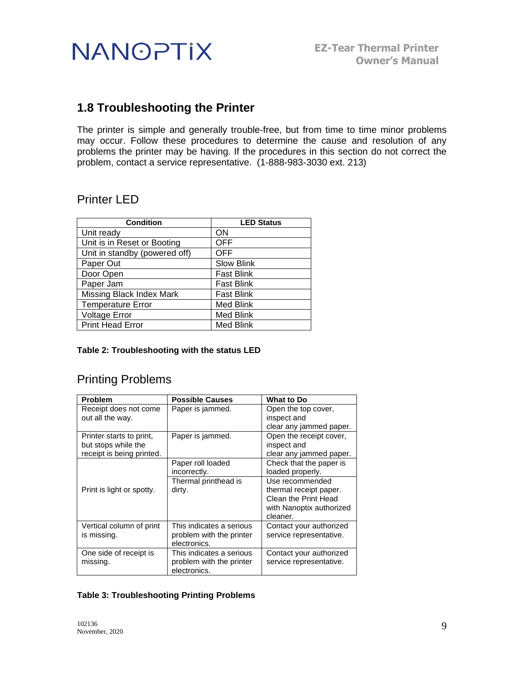

## <span id="page-14-0"></span>**1.8 Troubleshooting the Printer**

The printer is simple and generally trouble-free, but from time to time minor problems may occur. Follow these procedures to determine the cause and resolution of any problems the printer may be having. If the procedures in this section do not correct the problem, contact a service representative. (1-888-983-3030 ext. 213)

## <span id="page-14-1"></span>Printer LED

| <b>Condition</b>                | <b>LED Status</b> |
|---------------------------------|-------------------|
| Unit ready                      | ON                |
| Unit is in Reset or Booting     | <b>OFF</b>        |
| Unit in standby (powered off)   | <b>OFF</b>        |
| Paper Out                       | <b>Slow Blink</b> |
| Door Open                       | <b>Fast Blink</b> |
| Paper Jam                       | <b>Fast Blink</b> |
| <b>Missing Black Index Mark</b> | <b>Fast Blink</b> |
| <b>Temperature Error</b>        | <b>Med Blink</b>  |
| <b>Voltage Error</b>            | Med Blink         |
| <b>Print Head Error</b>         | <b>Med Blink</b>  |

#### <span id="page-14-3"></span>**Table 2: Troubleshooting with the status LED**

## <span id="page-14-2"></span>Printing Problems

| <b>Problem</b>            | <b>Possible Causes</b>   | <b>What to Do</b>        |
|---------------------------|--------------------------|--------------------------|
| Receipt does not come     | Paper is jammed.         | Open the top cover,      |
| out all the way.          |                          | inspect and              |
|                           |                          | clear any jammed paper.  |
| Printer starts to print,  | Paper is jammed.         | Open the receipt cover,  |
| but stops while the       |                          | inspect and              |
| receipt is being printed. |                          | clear any jammed paper.  |
|                           | Paper roll loaded        | Check that the paper is  |
|                           | incorrectly.             | loaded properly.         |
|                           | Thermal printhead is     | Use recommended          |
| Print is light or spotty. | dirty.                   | thermal receipt paper.   |
|                           |                          | Clean the Print Head     |
|                           |                          | with Nanoptix authorized |
|                           |                          | cleaner.                 |
| Vertical column of print  | This indicates a serious | Contact your authorized  |
| is missing.               | problem with the printer | service representative.  |
|                           | electronics.             |                          |
| One side of receipt is    | This indicates a serious | Contact your authorized  |
| missing.                  | problem with the printer | service representative.  |
|                           | electronics.             |                          |

#### <span id="page-14-4"></span>**Table 3: Troubleshooting Printing Problems**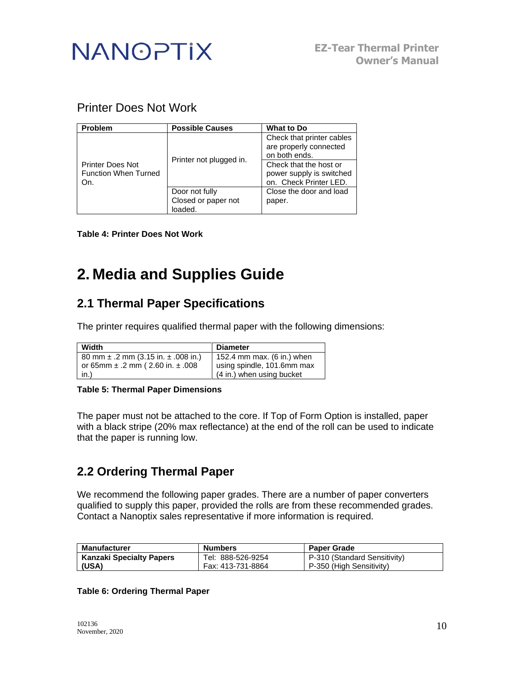

## <span id="page-15-0"></span>Printer Does Not Work

| <b>Problem</b>                                                | <b>Possible Causes</b>  | <b>What to Do</b>                                                                                                                                    |
|---------------------------------------------------------------|-------------------------|------------------------------------------------------------------------------------------------------------------------------------------------------|
| <b>Printer Does Not</b><br><b>Function When Turned</b><br>On. | Printer not plugged in. | Check that printer cables<br>are properly connected<br>on both ends.<br>Check that the host or<br>power supply is switched<br>on. Check Printer LED. |
|                                                               | Door not fully          | Close the door and load                                                                                                                              |
|                                                               | Closed or paper not     | paper.                                                                                                                                               |
|                                                               | loaded.                 |                                                                                                                                                      |

<span id="page-15-4"></span>**Table 4: Printer Does Not Work**

## <span id="page-15-1"></span>**2. Media and Supplies Guide**

## <span id="page-15-2"></span>**2.1 Thermal Paper Specifications**

The printer requires qualified thermal paper with the following dimensions:

| Width                                       | <b>Diameter</b>            |
|---------------------------------------------|----------------------------|
| 80 mm $\pm$ .2 mm (3.15 in. $\pm$ .008 in.) | 152.4 mm max. (6 in.) when |
| or 65mm $\pm$ .2 mm (2.60 in. $\pm$ .008    | using spindle, 101.6mm max |
| in.)                                        | (4 in.) when using bucket  |

#### <span id="page-15-5"></span>**Table 5: Thermal Paper Dimensions**

The paper must not be attached to the core. If Top of Form Option is installed, paper with a black stripe (20% max reflectance) at the end of the roll can be used to indicate that the paper is running low.

## <span id="page-15-3"></span>**2.2 Ordering Thermal Paper**

We recommend the following paper grades. There are a number of paper converters qualified to supply this paper, provided the rolls are from these recommended grades. Contact a Nanoptix sales representative if more information is required.

| <b>Manufacturer</b>             | <b>Numbers</b>    | <b>Paper Grade</b>           |
|---------------------------------|-------------------|------------------------------|
| <b>Kanzaki Specialty Papers</b> | Tel: 888-526-9254 | P-310 (Standard Sensitivity) |
| (USA)                           | Fax: 413-731-8864 | P-350 (High Sensitivity)     |

#### <span id="page-15-6"></span>**Table 6: Ordering Thermal Paper**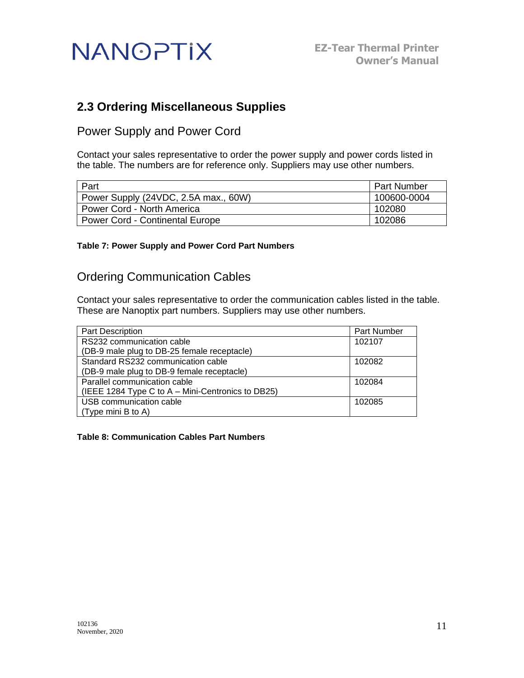

## <span id="page-16-0"></span>**2.3 Ordering Miscellaneous Supplies**

<span id="page-16-1"></span>Power Supply and Power Cord

Contact your sales representative to order the power supply and power cords listed in the table. The numbers are for reference only. Suppliers may use other numbers.

| Part                                   | <b>Part Number</b> |
|----------------------------------------|--------------------|
| Power Supply (24VDC, 2.5A max., 60W)   | 100600-0004        |
| Power Cord - North America             | 102080             |
| <b>Power Cord - Continental Europe</b> | 102086             |

#### <span id="page-16-3"></span>**Table 7: Power Supply and Power Cord Part Numbers**

### <span id="page-16-2"></span>Ordering Communication Cables

Contact your sales representative to order the communication cables listed in the table. These are Nanoptix part numbers. Suppliers may use other numbers.

| <b>Part Description</b>                           | Part Number |
|---------------------------------------------------|-------------|
| RS232 communication cable                         | 102107      |
| (DB-9 male plug to DB-25 female receptacle)       |             |
| Standard RS232 communication cable                | 102082      |
| (DB-9 male plug to DB-9 female receptacle)        |             |
| Parallel communication cable                      | 102084      |
| (IEEE 1284 Type C to A - Mini-Centronics to DB25) |             |
| USB communication cable                           | 102085      |
| $\vert$ (Type mini B to A)                        |             |

<span id="page-16-4"></span>**Table 8: Communication Cables Part Numbers**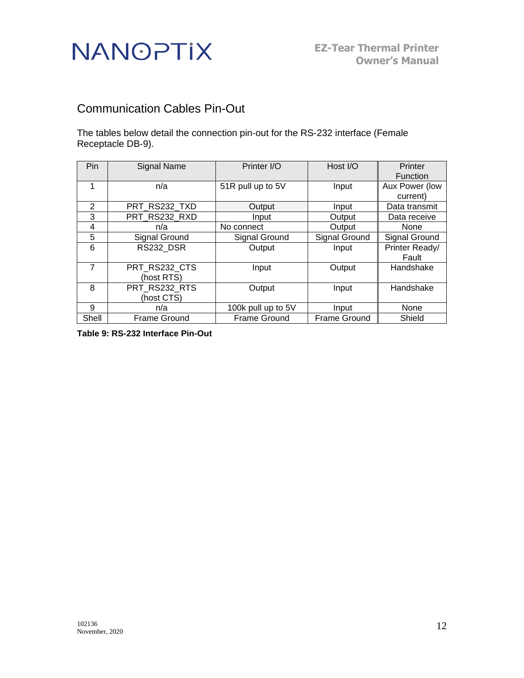## <span id="page-17-0"></span>Communication Cables Pin-Out

The tables below detail the connection pin-out for the RS-232 interface (Female Receptacle DB-9).

| Pin   | <b>Signal Name</b>  | Printer I/O         | Host I/O            | Printer         |
|-------|---------------------|---------------------|---------------------|-----------------|
|       |                     |                     |                     | <b>Function</b> |
|       | n/a                 | 51R pull up to 5V   | Input               | Aux Power (low  |
|       |                     |                     |                     | current)        |
| 2     | PRT RS232 TXD       | Output              | Input               | Data transmit   |
| 3     | PRT_RS232_RXD       | Input               | Output              | Data receive    |
| 4     | n/a                 | No connect          | Output              | None            |
| 5     | Signal Ground       | Signal Ground       | Signal Ground       | Signal Ground   |
| 6     | RS232_DSR           | Output              | Input               | Printer Ready/  |
|       |                     |                     |                     | Fault           |
| 7     | PRT RS232 CTS       | Input               | Output              | Handshake       |
|       | (host RTS)          |                     |                     |                 |
| 8     | PRT RS232 RTS       | Output              | Input               | Handshake       |
|       | (host CTS)          |                     |                     |                 |
| 9     | n/a                 | 100k pull up to 5V  | Input               | None            |
| Shell | <b>Frame Ground</b> | <b>Frame Ground</b> | <b>Frame Ground</b> | Shield          |

<span id="page-17-1"></span>**Table 9: RS-232 Interface Pin-Out**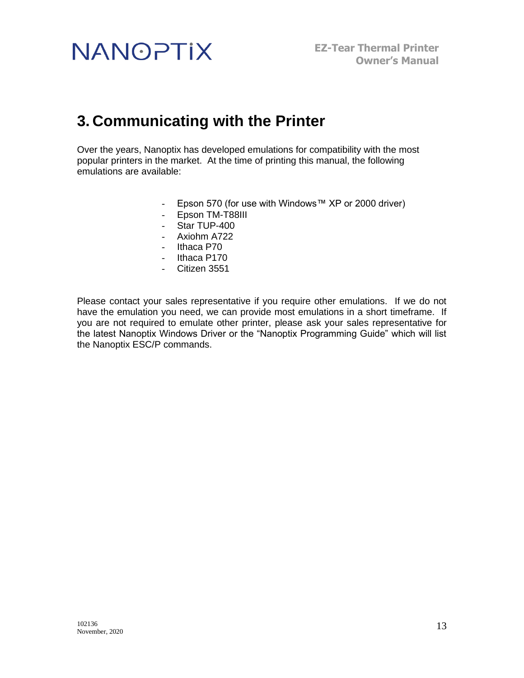## <span id="page-18-0"></span>**3. Communicating with the Printer**

Over the years, Nanoptix has developed emulations for compatibility with the most popular printers in the market. At the time of printing this manual, the following emulations are available:

- Epson 570 (for use with Windows™ XP or 2000 driver)
- Epson TM-T88III
- Star TUP-400
- Axiohm A722
- Ithaca P70
- Ithaca P170
- Citizen 3551

Please contact your sales representative if you require other emulations. If we do not have the emulation you need, we can provide most emulations in a short timeframe. If you are not required to emulate other printer, please ask your sales representative for the latest Nanoptix Windows Driver or the "Nanoptix Programming Guide" which will list the Nanoptix ESC/P commands.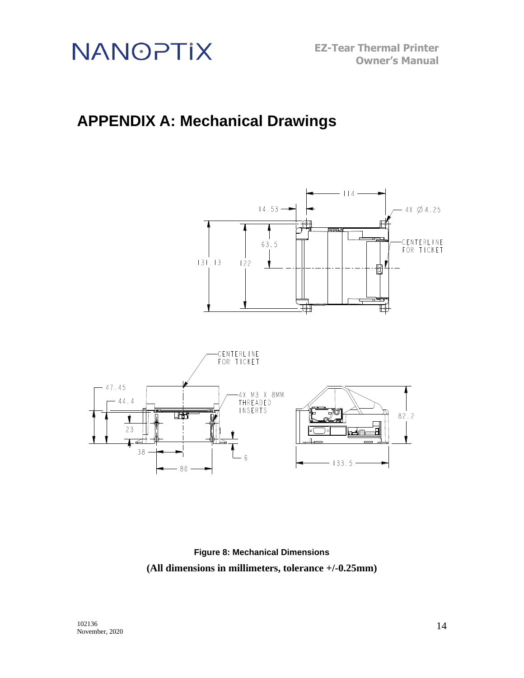

**EZ-Tear Thermal Printer Owner's Manual**

## <span id="page-19-0"></span>**APPENDIX A: Mechanical Drawings**



**Figure 8: Mechanical Dimensions (All dimensions in millimeters, tolerance +/-0.25mm)**